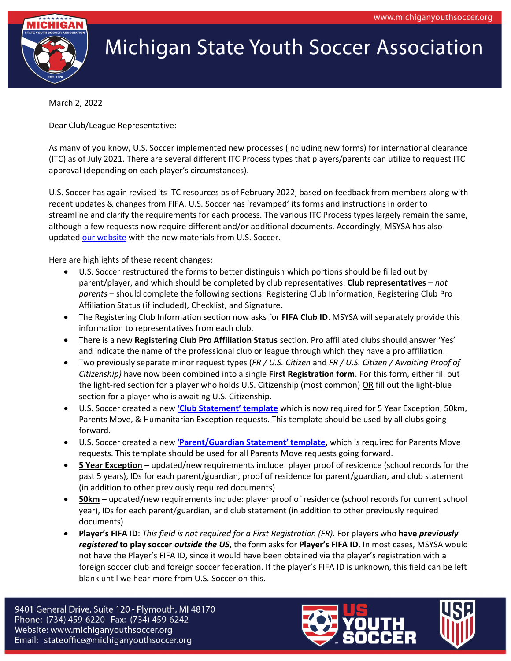

## **Michigan State Youth Soccer Association**

March 2, 2022

Dear Club/League Representative:

As many of you know, U.S. Soccer implemented new processes (including new forms) for international clearance (ITC) as of July 2021. There are several different ITC Process types that players/parents can utilize to request ITC approval (depending on each player's circumstances).

U.S. Soccer has again revised its ITC resources as of February 2022, based on feedback from members along with recent updates & changes from FIFA. U.S. Soccer has 'revamped' its forms and instructions in order to streamline and clarify the requirements for each process. The various ITC Process types largely remain the same, although a few requests now require different and/or additional documents. Accordingly, MSYSA has also update[d our website](https://www.michiganyouthsoccer.org/Member_Services/Guest___Player_Forms.htm) with the new materials from U.S. Soccer.

Here are highlights of these recent changes:

- U.S. Soccer restructured the forms to better distinguish which portions should be filled out by parent/player, and which should be completed by club representatives. **Club representatives** – *not parents* – should complete the following sections: Registering Club Information, Registering Club Pro Affiliation Status (if included), Checklist, and Signature.
- The Registering Club Information section now asks for FIFA Club ID. MSYSA will separately provide this information to representatives from each club.
- There is a new **Registering Club Pro Affiliation Status** section. Pro affiliated clubs should answer 'Yes' and indicate the name of the professional club or league through which they have a pro affiliation.
- Two previously separate minor request types (*FR / U.S. Citizen* and *FR / U.S. Citizen / Awaiting Proof of Citizenship)* have now been combined into a single **First Registration form**. For this form, either fill out the light-red section for a player who holds U.S. Citizenship (most common) OR fill out the light-blue section for a player who is awaiting U.S. Citizenship.
- U.S. Soccer created a new **['Club Statement' template](https://www.michiganyouthsoccer.org/Assets/Michigan+Youth+Soccer1+Digital+Assets/ITC/Club+Statement+Template.pdf)** which is now required for 5 Year Exception, 50km, Parents Move, & Humanitarian Exception requests. This template should be used by all clubs going forward.
- U.S. Soccer created a new **['Parent/Guardian Statement' template](https://www.michiganyouthsoccer.org/Assets/Michigan+Youth+Soccer1+Digital+Assets/ITC/Parent+Statement+Template.pdf),** which is required for Parents Move requests. This template should be used for all Parents Move requests going forward.
- **5 Year Exception** updated/new requirements include: player proof of residence (school records for the past 5 years), IDs for each parent/guardian, proof of residence for parent/guardian, and club statement (in addition to other previously required documents)
- **50km** updated/new requirements include: player proof of residence (school records for current school year), IDs for each parent/guardian, and club statement (in addition to other previously required documents)
- **Player's FIFA ID**: *This field is not required for a First Registration (FR).* For players who **have** *previously registered* **to play soccer** *outside the US*, the form asks for **Player's FIFA ID**. In most cases, MSYSA would not have the Player's FIFA ID, since it would have been obtained via the player's registration with a foreign soccer club and foreign soccer federation. If the player's FIFA ID is unknown, this field can be left blank until we hear more from U.S. Soccer on this.